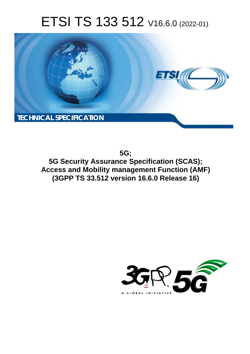# ETSI TS 133 512 V16.6.0 (2022-01)



**5G; 5G Security Assurance Specification (SCAS); Access and Mobility management Function (AMF) (3GPP TS 33.512 version 16.6.0 Release 16)** 

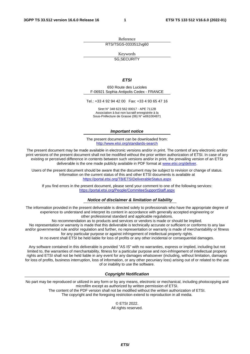Reference RTS/TSGS-0333512vg60

Keywords

5G,SECURITY

### *ETSI*

650 Route des Lucioles F-06921 Sophia Antipolis Cedex - FRANCE

Tel.: +33 4 92 94 42 00 Fax: +33 4 93 65 47 16

Siret N° 348 623 562 00017 - APE 7112B Association à but non lucratif enregistrée à la Sous-Préfecture de Grasse (06) N° w061004871

#### *Important notice*

The present document can be downloaded from: <http://www.etsi.org/standards-search>

The present document may be made available in electronic versions and/or in print. The content of any electronic and/or print versions of the present document shall not be modified without the prior written authorization of ETSI. In case of any existing or perceived difference in contents between such versions and/or in print, the prevailing version of an ETSI deliverable is the one made publicly available in PDF format at [www.etsi.org/deliver](http://www.etsi.org/deliver).

Users of the present document should be aware that the document may be subject to revision or change of status. Information on the current status of this and other ETSI documents is available at <https://portal.etsi.org/TB/ETSIDeliverableStatus.aspx>

If you find errors in the present document, please send your comment to one of the following services: <https://portal.etsi.org/People/CommiteeSupportStaff.aspx>

### *Notice of disclaimer & limitation of liability*

The information provided in the present deliverable is directed solely to professionals who have the appropriate degree of experience to understand and interpret its content in accordance with generally accepted engineering or other professional standard and applicable regulations.

No recommendation as to products and services or vendors is made or should be implied.

No representation or warranty is made that this deliverable is technically accurate or sufficient or conforms to any law and/or governmental rule and/or regulation and further, no representation or warranty is made of merchantability or fitness for any particular purpose or against infringement of intellectual property rights.

In no event shall ETSI be held liable for loss of profits or any other incidental or consequential damages.

Any software contained in this deliverable is provided "AS IS" with no warranties, express or implied, including but not limited to, the warranties of merchantability, fitness for a particular purpose and non-infringement of intellectual property rights and ETSI shall not be held liable in any event for any damages whatsoever (including, without limitation, damages for loss of profits, business interruption, loss of information, or any other pecuniary loss) arising out of or related to the use of or inability to use the software.

## *Copyright Notification*

No part may be reproduced or utilized in any form or by any means, electronic or mechanical, including photocopying and microfilm except as authorized by written permission of ETSI. The content of the PDF version shall not be modified without the written authorization of ETSI.

The copyright and the foregoing restriction extend to reproduction in all media.

© ETSI 2022. All rights reserved.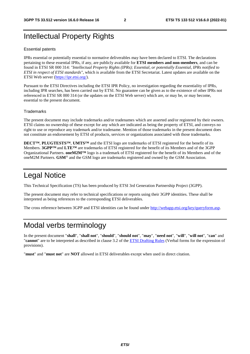## Intellectual Property Rights

### Essential patents

IPRs essential or potentially essential to normative deliverables may have been declared to ETSI. The declarations pertaining to these essential IPRs, if any, are publicly available for **ETSI members and non-members**, and can be found in ETSI SR 000 314: *"Intellectual Property Rights (IPRs); Essential, or potentially Essential, IPRs notified to ETSI in respect of ETSI standards"*, which is available from the ETSI Secretariat. Latest updates are available on the ETSI Web server ([https://ipr.etsi.org/\)](https://ipr.etsi.org/).

Pursuant to the ETSI Directives including the ETSI IPR Policy, no investigation regarding the essentiality of IPRs, including IPR searches, has been carried out by ETSI. No guarantee can be given as to the existence of other IPRs not referenced in ETSI SR 000 314 (or the updates on the ETSI Web server) which are, or may be, or may become, essential to the present document.

## **Trademarks**

The present document may include trademarks and/or tradenames which are asserted and/or registered by their owners. ETSI claims no ownership of these except for any which are indicated as being the property of ETSI, and conveys no right to use or reproduce any trademark and/or tradename. Mention of those trademarks in the present document does not constitute an endorsement by ETSI of products, services or organizations associated with those trademarks.

**DECT™**, **PLUGTESTS™**, **UMTS™** and the ETSI logo are trademarks of ETSI registered for the benefit of its Members. **3GPP™** and **LTE™** are trademarks of ETSI registered for the benefit of its Members and of the 3GPP Organizational Partners. **oneM2M™** logo is a trademark of ETSI registered for the benefit of its Members and of the oneM2M Partners. **GSM**® and the GSM logo are trademarks registered and owned by the GSM Association.

## Legal Notice

This Technical Specification (TS) has been produced by ETSI 3rd Generation Partnership Project (3GPP).

The present document may refer to technical specifications or reports using their 3GPP identities. These shall be interpreted as being references to the corresponding ETSI deliverables.

The cross reference between 3GPP and ETSI identities can be found under<http://webapp.etsi.org/key/queryform.asp>.

## Modal verbs terminology

In the present document "**shall**", "**shall not**", "**should**", "**should not**", "**may**", "**need not**", "**will**", "**will not**", "**can**" and "**cannot**" are to be interpreted as described in clause 3.2 of the [ETSI Drafting Rules](https://portal.etsi.org/Services/editHelp!/Howtostart/ETSIDraftingRules.aspx) (Verbal forms for the expression of provisions).

"**must**" and "**must not**" are **NOT** allowed in ETSI deliverables except when used in direct citation.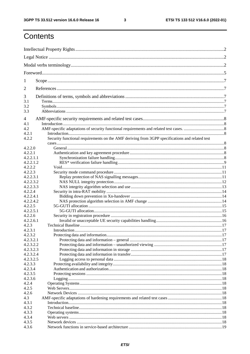$\mathbf{3}$ 

## Contents

| 1          |                                                                                                |  |  |  |  |
|------------|------------------------------------------------------------------------------------------------|--|--|--|--|
| 2          |                                                                                                |  |  |  |  |
| 3          |                                                                                                |  |  |  |  |
| 3.1        |                                                                                                |  |  |  |  |
| 3.2<br>3.3 |                                                                                                |  |  |  |  |
| 4          |                                                                                                |  |  |  |  |
| 4.1        |                                                                                                |  |  |  |  |
| 4.2        |                                                                                                |  |  |  |  |
| 4.2.1      |                                                                                                |  |  |  |  |
| 4.2.2      | Security functional requirements on the AMF deriving from 3GPP specifications and related test |  |  |  |  |
| 4.2.2.0    |                                                                                                |  |  |  |  |
| 4.2.2.1    |                                                                                                |  |  |  |  |
| 4.2.2.1.1  |                                                                                                |  |  |  |  |
| 4.2.2.1.2  |                                                                                                |  |  |  |  |
| 4.2.2.2    |                                                                                                |  |  |  |  |
| 4.2.2.3    |                                                                                                |  |  |  |  |
| 4.2.2.3.1  |                                                                                                |  |  |  |  |
| 4.2.2.3.2  |                                                                                                |  |  |  |  |
| 4.2.2.3.3  |                                                                                                |  |  |  |  |
| 4.2.2.4    |                                                                                                |  |  |  |  |
| 4.2.2.4.1  |                                                                                                |  |  |  |  |
| 4.2.2.4.2  |                                                                                                |  |  |  |  |
| 4.2.2.5    |                                                                                                |  |  |  |  |
| 4.2.2.5.1  |                                                                                                |  |  |  |  |
| 4.2.2.6    |                                                                                                |  |  |  |  |
| 4.2.2.6.1  |                                                                                                |  |  |  |  |
| 4.2.3      |                                                                                                |  |  |  |  |
| 4.2.3.1    |                                                                                                |  |  |  |  |
| 4.2.3.2    |                                                                                                |  |  |  |  |
| 4.2.3.2.1  |                                                                                                |  |  |  |  |
| 4.2.3.2.2  |                                                                                                |  |  |  |  |
| 4.2.3.2.3  |                                                                                                |  |  |  |  |
| 4.2.3.2.4  |                                                                                                |  |  |  |  |
| 4.2.3.2.5  |                                                                                                |  |  |  |  |
| 4.2.3.3    |                                                                                                |  |  |  |  |
| 4.2.3.4    |                                                                                                |  |  |  |  |
| 4.2.3.5    |                                                                                                |  |  |  |  |
| 4.2.3.6    |                                                                                                |  |  |  |  |
| 4.2.4      |                                                                                                |  |  |  |  |
| 4.2.5      |                                                                                                |  |  |  |  |
| 4.2.6      |                                                                                                |  |  |  |  |
| 4.3        |                                                                                                |  |  |  |  |
| 4.3.1      |                                                                                                |  |  |  |  |
| 4.3.2      |                                                                                                |  |  |  |  |
| 4.3.3      |                                                                                                |  |  |  |  |
| 4.3.4      |                                                                                                |  |  |  |  |
| 4.3.5      |                                                                                                |  |  |  |  |
| 4.3.6      |                                                                                                |  |  |  |  |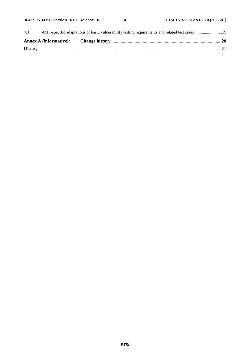| 4.4 |  |  |
|-----|--|--|
|     |  |  |
|     |  |  |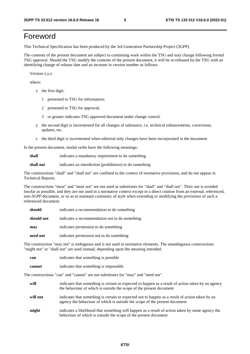## Foreword

This Technical Specification has been produced by the 3rd Generation Partnership Project (3GPP).

The contents of the present document are subject to continuing work within the TSG and may change following formal TSG approval. Should the TSG modify the contents of the present document, it will be re-released by the TSG with an identifying change of release date and an increase in version number as follows:

Version x.y.z

where:

- x the first digit:
	- 1 presented to TSG for information;
	- 2 presented to TSG for approval;
	- 3 or greater indicates TSG approved document under change control.
- y the second digit is incremented for all changes of substance, i.e. technical enhancements, corrections, updates, etc.
- z the third digit is incremented when editorial only changes have been incorporated in the document.

In the present document, modal verbs have the following meanings:

**shall** indicates a mandatory requirement to do something

**shall not** indicates an interdiction (prohibition) to do something

The constructions "shall" and "shall not" are confined to the context of normative provisions, and do not appear in Technical Reports.

The constructions "must" and "must not" are not used as substitutes for "shall" and "shall not". Their use is avoided insofar as possible, and they are not used in a normative context except in a direct citation from an external, referenced, non-3GPP document, or so as to maintain continuity of style when extending or modifying the provisions of such a referenced document.

| should     | indicates a recommendation to do something     |
|------------|------------------------------------------------|
| should not | indicates a recommendation not to do something |
| may        | indicates permission to do something           |
| need not   | indicates permission not to do something       |

The construction "may not" is ambiguous and is not used in normative elements. The unambiguous constructions "might not" or "shall not" are used instead, depending upon the meaning intended.

| can    | indicates that something is possible.  |
|--------|----------------------------------------|
| cannot | indicates that something is impossible |

The constructions "can" and "cannot" are not substitutes for "may" and "need not".

| will     | indicates that something is certain or expected to happen as a result of action taken by an agency<br>the behaviour of which is outside the scope of the present document     |
|----------|-------------------------------------------------------------------------------------------------------------------------------------------------------------------------------|
| will not | indicates that something is certain or expected not to happen as a result of action taken by an<br>agency the behaviour of which is outside the scope of the present document |
| might    | indicates a likelihood that something will happen as a result of action taken by some agency the<br>behaviour of which is outside the scope of the present document           |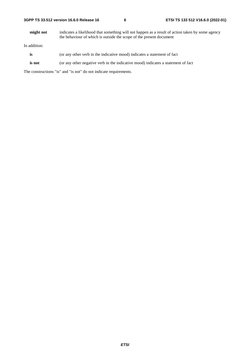| 3GPP TS 33.512 version 16.6.0 Release 16 |  |
|------------------------------------------|--|
|------------------------------------------|--|

**might not** indicates a likelihood that something will not happen as a result of action taken by some agency the behaviour of which is outside the scope of the present document

In addition:

- is (or any other verb in the indicative mood) indicates a statement of fact
- **is not** (or any other negative verb in the indicative mood) indicates a statement of fact

The constructions "is" and "is not" do not indicate requirements.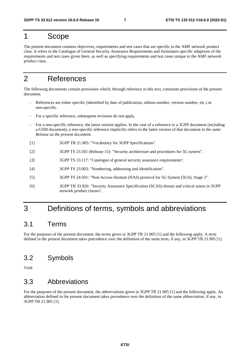## 1 Scope

The present document contains objectives, requirements and test cases that are specific to the AMF network product class. It refers to the Catalogue of General Security Assurance Requirements and formulates specific adaptions of the requirements and test cases given there, as well as specifying requirements and test cases unique to the AMF network product class.

## 2 References

The following documents contain provisions which, through reference in this text, constitute provisions of the present document.

- References are either specific (identified by date of publication, edition number, version number, etc.) or non-specific.
- For a specific reference, subsequent revisions do not apply.
- For a non-specific reference, the latest version applies. In the case of a reference to a 3GPP document (including a GSM document), a non-specific reference implicitly refers to the latest version of that document *in the same Release as the present document*.
- [1] 3GPP TR 21.905: "Vocabulary for 3GPP Specifications".
- [2] 3GPP TS 33.501 (Release 15): "Security architecture and procedures for 5G system".
- [3] 3GPP TS 33.117: "Catalogue of general security assurance requirements".
- [4] 3GPP TS 23.003: "Numbering, addressing and identification".
- [5] 3GPP TS 24.501: "Non-Access-Stratum (NAS) protocol for 5G System (5GS); Stage 3".
- [6] 3GPP TR 33.926: "Security Assurance Specification (SCAS) threats and critical assets in 3GPP network product classes".

## 3 Definitions of terms, symbols and abbreviations

## 3.1 Terms

For the purposes of the present document, the terms given in 3GPP TR 21.905 [1] and the following apply. A term defined in the present document takes precedence over the definition of the same term, if any, in 3GPP TR 21.905 [1].

## 3.2 Symbols

Void.

## 3.3 Abbreviations

For the purposes of the present document, the abbreviations given in 3GPP TR 21.905 [1] and the following apply. An abbreviation defined in the present document takes precedence over the definition of the same abbreviation, if any, in 3GPP TR 21.905 [1].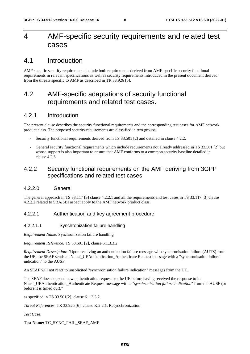## 4 AMF-specific security requirements and related test cases

## 4.1 Introduction

AMF specific security requirements include both requirements derived from AMF-specific security functional requirements in relevant specifications as well as security requirements introduced in the present document derived from the threats specific to AMF as described in TR 33.926 [6].

## 4.2 AMF-specific adaptations of security functional requirements and related test cases.

## 4.2.1 Introduction

The present clause describes the security functional requirements and the corresponding test cases for AMF network product class. The proposed security requirements are classified in two groups:

- Security functional requirements derived from TS 33.501 [2] and detailed in clause 4.2.2.
- General security functional requirements which include requirements not already addressed in TS 33.501 [2] but whose support is also important to ensure that AMF conforms to a common security baseline detailed in clause 4.2.3.

## 4.2.2 Security functional requirements on the AMF deriving from 3GPP specifications and related test cases

## 4.2.2.0 General

The general approach in TS 33.117 [3] clause 4.2.2.1 and all the requirements and test cases in TS 33.117 [3] clause 4.2.2.2 related to SBA/SBI aspect apply to the AMF network product class.

## 4.2.2.1 Authentication and key agreement procedure

## 4.2.2.1.1 Synchronization failure handling

*Requirement Name*: Synchronization failure handling

*Requirement Reference:* TS 33.501 [2], clause 6.1.3.3.2

*Requirement Description*: "Upon receiving an authentication failure message with synchronisation failure (AUTS) from the UE, the SEAF sends an Nausf\_UEAuthentication\_Authenticate Request message with a "synchronisation failure indication" to the AUSF.

An SEAF will not react to unsolicited "synchronisation failure indication" messages from the UE.

The SEAF does not send new authentication requests to the UE before having received the response to its Nausf\_UEAuthentication\_Authenticate Request message with a "*synchronisation failure indication*" from the AUSF (or before it is timed out)."

as specified in TS 33.501[2], clause 6.1.3.3.2.

*Threat References*: TR 33.926 [6], clause K.2.2.1, Resynchronization

*Test Case*:

**Test Name:** TC\_SYNC\_FAIL\_SEAF\_AMF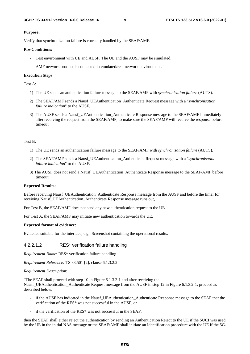### **Purpose:**

Verify that synchronization failure is correctly handled by the SEAF/AMF.

## **Pre-Conditions:**

- Test environment with UE and AUSF. The UE and the AUSF may be simulated.
- AMF network product is connected in emulated/real network environment.

### **Execution Steps**

Test A:

- 1) The UE sends an authentication failure message to the SEAF/AMF with *synchronisation failure* (AUTS).
- 2) The SEAF/AMF sends a Nausf\_UEAuthentication\_Authenticate Request message with a "*synchronisation failure indication*" to the AUSF.
- 3) The AUSF sends a Nausf\_UEAuthentication\_Authenticate Response message to the SEAF/AMF immediately after receiving the request from the SEAF/AMF, to make sure the SEAF/AMF will receive the response before timeout.

## Test B:

- 1) The UE sends an authentication failure message to the SEAF/AMF with *synchronisation failure* (AUTS).
- 2) The SEAF/AMF sends a Nausf\_UEAuthentication\_Authenticate Request message with a "*synchronisation failure indication*" to the AUSF.
- 3) The AUSF does not send a Nausf\_UEAuthentication\_Authenticate Response message to the SEAF/AMF before timeout.

## **Expected Results:**

Before receiving Nausf\_UEAuthentication\_Authenticate Response message from the AUSF and before the timer for receiving Nausf\_UEAuthentication\_Authenticate Response message runs out,

For Test B, the SEAF/AMF does not send any new authentication request to the UE.

For Test A, the SEAF/AMF may initiate new authentication towards the UE.

### **Expected format of evidence:**

Evidence suitable for the interface, e.g., Screenshot containing the operational results.

## 4.2.2.1.2 RES\* verification failure handling

*Requirement Name*: RES\* verification failure handling

*Requirement Reference:* TS 33.501 [2], clause 6.1.3.2.2

## *Requirement Description*:

"The SEAF shall proceed with step 10 in Figure 6.1.3.2-1 and after receiving the Nausf\_UEAuthentication\_Authenticate Request message from the AUSF in step 12 in Figure 6.1.3.2-1, proceed as described below:

- if the AUSF has indicated in the Nausf\_UEAuthentication\_Authenticate Response message to the SEAF that the verification of the RES\* was not successful in the AUSF, or
- if the verification of the RES\* was not successful in the SEAF,

then the SEAF shall either reject the authentication by sending an Authentication Reject to the UE if the SUCI was used by the UE in the initial NAS message or the SEAF/AMF shall initiate an Identification procedure with the UE if the 5G-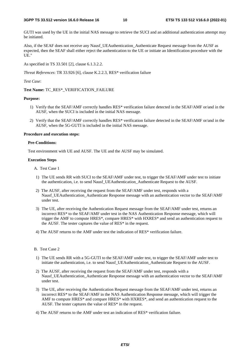GUTI was used by the UE in the initial NAS message to retrieve the SUCI and an additional authentication attempt may be initiated.

Also, if the SEAF does not receive any Nausf\_UEAuthentication\_Authenticate Request message from the AUSF as expected, then the SEAF shall either reject the authentication to the UE or initiate an Identification procedure with the UE."

As specified in TS 33.501 [2], clause 6.1.3.2.2.

*Threat References*: TR 33.926 [6], clause K.2.2.3, RES\* verification failure

#### *Test Case*:

## **Test Name:** TC\_RES\*\_VERIFICATION\_FAILURE

### **Purpose:**

- 1) Verify that the SEAF/AMF correctly handles RES\* verification failure detected in the SEAF/AMF or/and in the AUSF, when the SUCI is included in the initial NAS message.
- 2) Verify that the SEAF/AMF correctly handles RES\* verification failure detected in the SEAF/AMF or/and in the AUSF, when the 5G-GUTI is included in the initial NAS message.

#### **Procedure and execution steps:**

#### **Pre-Conditions:**

Test environment with UE and AUSF. The UE and the AUSF may be simulated.

#### **Execution Steps**

- A. Test Case 1
- 1) The UE sends RR with SUCI to the SEAF/AMF under test, to trigger the SEAF/AMF under test to initiate the authentication, i.e. to send Nausf\_UEAuthentication\_Authenticate Request to the AUSF.
- 2) The AUSF, after receiving the request from the SEAF/AMF under test, responds with a Nausf\_UEAuthentication\_Authenticate Response message with an authentication vector to the SEAF/AMF under test.
- 3) The UE, after receiving the Authentication Request message from the SEAF/AMF under test, returns an incorrect RES\* to the SEAF/AMF under test in the NAS Authentication Response message, which will trigger the AMF to compute HRES\*, compare HRES\* with HXRES\* and send an authentication request to the AUSF. The tester captures the value of RES\* in the request.
- 4) The AUSF returns to the AMF under test the indication of RES\* verification failure.
- B. Test Case 2
- 1) The UE sends RR with a 5G-GUTI to the SEAF/AMF under test, to trigger the SEAF/AMF under test to initiate the authentication, i.e. to send Nausf\_UEAuthentication\_Authenticate Request to the AUSF.
- 2) The AUSF, after receiving the request from the SEAF/AMF under test, responds with a Nausf UEAuthentication Authenticate Response message with an authentication vector to the SEAF/AMF under test.
- 3) The UE, after receiving the Authentication Request message from the SEAF/AMF under test, returns an incorrect RES\* to the SEAF/AMF in the NAS Authentication Response message, which will trigger the AMF to compute HRES\* and compare HRES\* with HXRES\*, and send an authentication request to the AUSF. The tester captures the value of RES\* in the request.
- 4) The AUSF returns to the AMF under test an indication of RES\* verification failure.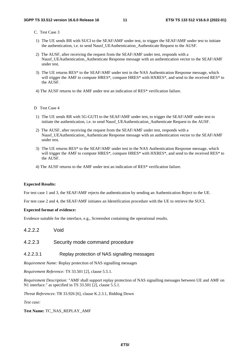## C. Test Case 3

- 1) The UE sends RR with SUCI to the SEAF/AMF under test, to trigger the SEAF/AMF under test to initiate the authentication, i.e. to send Nausf\_UEAuthentication\_Authenticate Request to the AUSF.
- 2) The AUSF, after receiving the request from the SEAF/AMF under test, responds with a Nausf UEAuthentication Authenticate Response message with an authentication vector to the SEAF/AMF under test.
- 3) The UE returns RES\* to the SEAF/AMF under test in the NAS Authentication Response message, which will trigger the AMF to compute HRES\*, compare HRES\* with HXRES\*, and send to the received RES\* to the AUSF.
- 4) The AUSF returns to the AMF under test an indication of RES\* verification failure.
- D Test Case 4
- 1) The UE sends RR with 5G-GUTI to the SEAF/AMF under test, to trigger the SEAF/AMF under test to initiate the authentication, i.e. to send Nausf\_UEAuthentication\_Authenticate Request to the AUSF.
- 2) The AUSF, after receiving the request from the SEAF/AMF under test, responds with a Nausf\_UEAuthentication\_Authenticate Response message with an authentication vector to the SEAF/AMF under test.
- 3) The UE returns RES\* to the SEAF/AMF under test in the NAS Authentication Response message, which will trigger the AMF to compute HRES\*, compare HRES\* with HXRES\*, and send to the received RES\* to the AUSF.
- 4) The AUSF returns to the AMF under test an indication of RES\* verification failure.

## **Expected Results:**

For test case 1 and 3, the SEAF/AMF rejects the authentication by sending an Authentication Reject to the UE.

For test case 2 and 4, the SEAF/AMF initiates an Identification procedure with the UE to retrieve the SUCI.

## **Expected format of evidence:**

Evidence suitable for the interface, e.g., Screenshot containing the operational results.

4.2.2.2 Void

## 4.2.2.3 Security mode command procedure

## 4.2.2.3.1 Replay protection of NAS signalling messages

*Requirement Name:* Replay protection of NAS signalling messages

*Requirement Reference:* TS 33.501 [2], clause 5.5.1.

*Requirement Description:* "AMF shall support replay protection of NAS signalling messages between UE and AMF on N1 interface." as specified in TS 33.501 [2], clause 5.5.1.

*Threat References*: TR 33.926 [6], clause K.2.3.1, Bidding Down

*Test case:* 

**Test Name:** TC\_NAS\_REPLAY\_AMF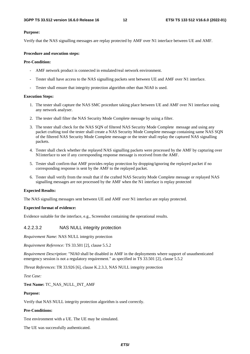### **Purpose:**

Verify that the NAS signalling messages are replay protected by AMF over N1 interface between UE and AMF.

## **Procedure and execution steps:**

## **Pre-Condition:**

- AMF network product is connected in emulated/real network environment.
- Tester shall have access to the NAS signalling packets sent between UE and AMF over N1 interface.
- Tester shall ensure that integrity protection algorithm other than NIA0 is used.

#### **Execution Steps:**

- 1. The tester shall capture the NAS SMC procedure taking place between UE and AMF over N1 interface using any network analyser.
- 2. The tester shall filter the NAS Security Mode Complete message by using a filter.
- 3. The tester shall check for the NAS SQN of filtered NAS Security Mode Complete message and using any packet crafting tool the tester shall create a NAS Security Mode Complete message containing same NAS SQN of the filtered NAS Security Mode Complete message or the tester shall replay the captured NAS signalling packets.
- 4. Tester shall check whether the replayed NAS signalling packets were processed by the AMF by capturing over N1interface to see if any corresponding response message is received from the AMF.
- 5. Tester shall confirm that AMF provides replay protection by dropping/ignoring the replayed packet if no corresponding response is sent by the AMF to the replayed packet.
- 6. Tester shall verify from the result that if the crafted NAS Security Mode Complete message or replayed NAS signalling messages are not processed by the AMF when the N1 interface is replay protected

#### **Expected Results:**

The NAS signalling messages sent between UE and AMF over N1 interface are replay protected.

#### **Expected format of evidence:**

Evidence suitable for the interface, e.g., Screenshot containing the operational results.

## 4.2.2.3.2 NAS NULL integrity protection

*Requirement Name*: NAS NULL integrity protection

*Requirement Reference:* TS 33.501 [2], clause 5.5.2

*Requirement Description*: "NIA0 shall be disabled in AMF in the deployments where support of unauthenticated emergency session is not a regulatory requirement." as specified in TS 33.501 [2], clause 5.5.2

*Threat References*: TR 33.926 [6], clause K.2.3.3, NAS NULL integrity protection

*Test Case:* 

**Test Name:** TC\_NAS\_NULL\_INT\_AMF

### **Purpose:**

Verify that NAS NULL integrity protection algorithm is used correctly.

## **Pre-Conditions:**

Test environment with a UE. The UE may be simulated.

The UE was successfully authenticated.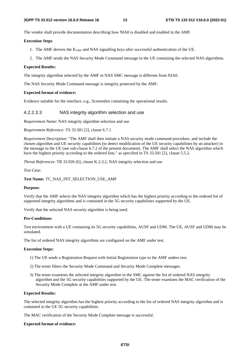The vendor shall provide documentation describing how NIA0 is disabled and enabled in the AMF.

#### **Execution Steps**

- 1. The AMF derives the KAMF and NAS signalling keys after successful authentication of the UE.
- 2. The AMF sends the NAS Security Mode Command message to the UE containing the selected NAS algorithms.

### **Expected Results:**

The integrity algorithm selected by the AMF in NAS SMC message is different from NIA0.

The NAS Security Mode Command message is integrity protected by the AMF.

#### **Expected format of evidence:**

Evidence suitable for the interface, e.g., Screenshot containing the operational results.

## 4.2.2.3.3 NAS integrity algorithm selection and use

*Requirement Name*: NAS integrity algorithm selection and use

*Requirement Reference:* TS 33.501 [2], clause 6.7.1

*Requirement Description*: "The AMF shall then initiate a NAS security mode command procedure, and include the chosen algorithm and UE security capabilities (to detect modification of the UE security capabilities by an attacker) in the message to the UE (see sub-clause 6.7.2 of the present document). The AMF shall select the NAS algorithm which have the highest priority according to the ordered lists." as specified in TS 33.501 [2], clause 5.5.2.

*Threat References*: TR 33.926 [6], clause K.2.3.2, NAS integrity selection and use

*Test Case:* 

**Test Name:** TC\_NAS\_INT\_SELECTION\_USE\_AMF

#### **Purpose:**

Verify that the AMF selects the NAS integrity algorithm which has the highest priority according to the ordered list of supported integrity algorithms and is contained in the 5G security capabilities supported by the UE.

Verify that the selected NAS security algorithm is being used.

## **Pre-Conditions:**

Test environment with a UE containing its 5G security capabilities, AUSF and UDM. The UE, AUSF and UDM may be simulated.

The list of ordered NAS integrity algorithms are configured on the AMF under test.

#### **Execution Steps:**

- 1) The UE sends a Registration Request with Initial Registration type to the AMF unders test.
- 2) The tester filters the Security Mode Command and Security Mode Complete messages.
- 3) The tester examines the selected integrity algorithm in the SMC against the list of ordered NAS integrity algorithm and the 5G security capabilities supported by the UE. The tester examines the MAC verification of the Security Mode Complete at the AMF under test.

#### **Expected Results:**

The selected integrity algorithm has the highest priority according to the list of ordered NAS integrity algorithm and is contained in the UE 5G security capabilities.

The MAC verification of the Security Mode Complete message is successful.

#### **Expected format of evidence:**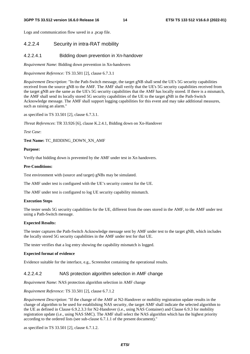#### **3GPP TS 33.512 version 16.6.0 Release 16 14 ETSI TS 133 512 V16.6.0 (2022-01)**

Logs and communication flow saved in a .pcap file.

## 4.2.2.4 Security in intra-RAT mobility

## 4.2.2.4.1 Bidding down prevention in Xn-handover

*Requirement Name*: Bidding down prevention in Xn-handovers

*Requirement Reference:* TS 33.501 [2], clause 6.7.3.1

*Requirement Description*: "In the Path-Switch message, the target gNB shall send the UE's 5G security capabilities received from the source gNB to the AMF. The AMF shall verify that the UE's 5G security capabilities received from the target gNB are the same as the UE's 5G security capabilities that the AMF has locally stored. If there is a mismatch, the AMF shall send its locally stored 5G security capabilities of the UE to the target gNB in the Path-Switch Acknowledge message. The AMF shall support logging capabilities for this event and may take additional measures, such as raising an alarm."

as specified in TS 33.501 [2], clause 6.7.3.1.

*Threat References*: TR 33.926 [6], clause K.2.4.1, Bidding down on Xn-Handover

## *Test Case*:

**Test Name:** TC\_BIDDING\_DOWN\_XN\_AMF

## **Purpose:**

Verify that bidding down is prevented by the AMF under test in Xn handovers.

## **Pre-Conditions:**

Test environment with (source and target) gNBs may be simulated.

The AMF under test is configured with the UE's security context for the UE.

The AMF under test is configured to log UE security capability mismatch.

## **Execution Steps**

The tester sends 5G security capabilities for the UE, different from the ones stored in the AMF, to the AMF under test using a Path-Switch message.

## **Expected Results:**

The tester captures the Path-Switch Acknowledge message sent by AMF under test to the target gNB, which includes the locally stored 5G security capabilities in the AMF under test for that UE.

The tester verifies that a log entry showing the capability mismatch is logged.

### **Expected format of evidence**

Evidence suitable for the interface, e.g., Screenshot containing the operational results.

## 4.2.2.4.2 NAS protection algorithm selection in AMF change

*Requirement Name*: NAS protection algorithm selection in AMF change

*Requirement Reference:* TS 33.501 [2], clause 6.7.1.2

*Requirement Description*: "If the change of the AMF at N2-Handover or mobility registration update results in the change of algorithm to be used for establishing NAS security, the target AMF shall indicate the selected algorithm to the UE as defined in Clause 6.9.2.3.3 for N2-Handover (i.e., using NAS Container) and Clause 6.9.3 for mobility registration update (i.e., using NAS SMC). The AMF shall select the NAS algorithm which has the highest priority according to the ordered lists (see sub-clause 6.7.1.1 of the present document)."

as specified in TS 33.501 [2], clause 6.7.1.2.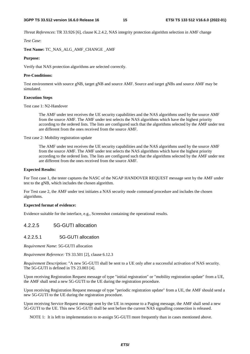*Threat References*: TR 33.926 [6], clause K.2.4.2, NAS integrity protection algorithm selection in AMF change

*Test Case*:

**Test Name:** TC\_NAS\_ALG\_AMF\_CHANGE \_AMF

#### **Purpose:**

Verify that NAS protection algorithms are selected correctly.

### **Pre-Conditions:**

Test environment with source gNB, target gNB and source AMF. Source and target gNBs and source AMF may be simulated.

### **Execution Steps**

Test case 1: N2-Handover

The AMF under test receives the UE security capabilities and the NAS algorithms used by the source AMF from the source AMF. The AMF under test selects the NAS algorithms which have the highest priority according to the ordered lists. The lists are configured such that the algorithms selected by the AMF under test are different from the ones received from the source AMF.

Test case 2: Mobility registration update

The AMF under test receives the UE security capabilities and the NAS algorithms used by the source AMF from the source AMF. The AMF under test selects the NAS algorithms which have the highest priority according to the ordered lists. The lists are configured such that the algorithms selected by the AMF under test are different from the ones received from the source AMF.

#### **Expected Results:**

For Test case 1, the tester captures the NASC of the NGAP HANDOVER REQUEST message sent by the AMF under test to the gNB, which includes the chosen algorithm.

For Test case 2, the AMF under test initiates a NAS security mode command procedure and includes the chosen algorithms.

### **Expected format of evidence:**

Evidence suitable for the interface, e.g., Screenshot containing the operational results.

## 4.2.2.5 5G-GUTI allocation

## 4.2.2.5.1 5G-GUTI allocation

*Requirement Name*: 5G-GUTI allocation

*Requirement Reference:* TS 33.501 [2], clause 6.12.3

*Requirement Description*: "A new 5G-GUTI shall be sent to a UE only after a successful activation of NAS security. The 5G-GUTI is defined in TS 23.003 [4].

Upon receiving Registration Request message of type "initial registration" or "mobility registration update" from a UE, the AMF shall send a new 5G-GUTI to the UE during the registration procedure.

Upon receiving Registration Request message of type "periodic registration update" from a UE, the AMF should send a new 5G-GUTI to the UE during the registration procedure.

Upon receiving Service Request message sent by the UE in response to a Paging message, the AMF shall send a new 5G-GUTI to the UE. This new 5G-GUTI shall be sent before the current NAS signalling connection is released.

NOTE 1: It is left to implementation to re-assign 5G-GUTI more frequently than in cases mentioned above.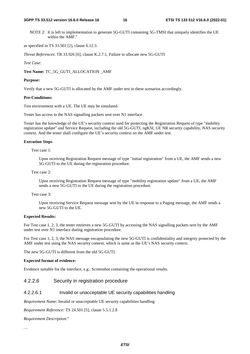#### **3GPP TS 33.512 version 16.6.0 Release 16 16 ETSI TS 133 512 V16.6.0 (2022-01)**

NOTE 2: It is left to implementation to generate 5G-GUTI containing 5G-TMSI that uniquely identifies the UE within the AMF."

as specified in TS 33.501 [2], clause 6.12.3.

*Threat References*: TR 33.926 [6], clause K.2.7.1, Failure to allocate new 5G-GUTI

## *Test Case*:

**Test Name:** TC\_5G\_GUTI\_ALLOCATION \_AMF

### **Purpose:**

Verify that a new 5G-GUTI is allocated by the AMF under test in these scenarios accordingly.

#### **Pre-Conditions:**

Test environment with a UE. The UE may be simulated.

Tester has access to the NAS signalling packets sent over N1 interface.

Tester has the knowledge of the UE's security context used for protecting the Registration Request of type "mobility registration update" and Service Request, including the old 5G-GUTI, ngKSI, UE NR security capability, NAS security context. And the tester shall configure the UE's security context on the AMF under test.

## **Execution Steps**

Test case 1:

Upon receiving Registration Request message of type "initial registration" from a UE, the AMF sends a new 5G-GUTI to the UE during the registration procedure.

## Test case 2:

Upon receiving Registration Request message of type "mobility registration update" from a UE, the AMF sends a new 5G-GUTI to the UE during the registration procedure.

#### Test case 3:

Upon receiving Service Request message sent by the UE in response to a Paging message, the AMF sends a new 5G-GUTI to the UE.

### **Expected Results:**

For Test case 1, 2, 3, the tester retrieves a new 5G-GUTI by accessing the NAS signalling packets sent by the AMF under test over N1 interface during registration procedure.

For Test case 1, 2, 3, the NAS message encapsulating the new 5G-GUTI is confidentiality and integrity protected by the AMF under test using the NAS security context, which is same as the UE's NAS security context.

The new 5G-GUTI is different from the old 5G-GUTI.

#### **Expected format of evidence:**

Evidence suitable for the interface, e.g., Screenshot containing the operational results.

## 4.2.2.6 Security in registration procedure

## 4.2.2.6.1 Invalid or unacceptable UE security capabilities handling

*Requirement Name*: Invalid or unacceptable UE security capabilities handling

*Requirement Reference:* TS 24.501 [5], clause 5.5.1.2.8

*Requirement Description*:"

*…*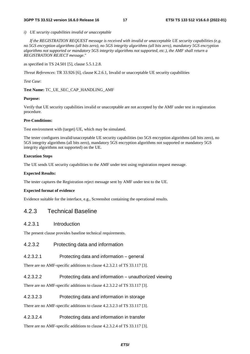*i) UE security capabilities invalid or unacceptable* 

 *If the REGISTRATION REQUEST message is received with invalid or unacceptable UE security capabilities (e.g. no 5GS encryption algorithms (all bits zero), no 5GS integrity algorithms (all bits zero), mandatory 5GS encryption algorithms not supported or mandatory 5GS integrity algorithms not supported, etc.), the AMF shall return a REGISTRATION REJECT message*."

as specified in TS 24.501 [5], clause 5.5.1.2.8.

*Threat References*: TR 33.926 [6], clause K.2.6.1, Invalid or unacceptable UE security capabilities

*Test Case*:

**Test Name:** TC\_UE\_SEC\_CAP\_HANDLING\_AMF

## **Purpose:**

Verify that UE security capabilities invalid or unacceptable are not accepted by the AMF under test in registration procedure.

## **Pre-Conditions:**

Test environment with (target) UE, which may be simulated.

The tester configures invalid/unacceptable UE security capabilities (no 5GS encryption algorithms (all bits zero), no 5GS integrity algorithms (all bits zero), mandatory 5GS encryption algorithms not supported or mandatory 5GS integrity algorithms not supported) on the UE.

### **Execution Steps**

The UE sends UE security capabilities to the AMF under test using registration request message.

## **Expected Results:**

The tester captures the Registration reject message sent by AMF under test to the UE.

## **Expected format of evidence**

Evidence suitable for the interface, e.g., Screenshot containing the operational results.

## 4.2.3 Technical Baseline

## 4.2.3.1 Introduction

The present clause provides baseline technical requirements.

4.2.3.2 Protecting data and information

## 4.2.3.2.1 Protecting data and information – general

There are no AMF-specific additions to clause 4.2.3.2.1 of TS 33.117 [3].

## 4.2.3.2.2 Protecting data and information – unauthorized viewing

There are no AMF-specific additions to clause 4.2.3.2.2 of TS 33.117 [3].

## 4.2.3.2.3 Protecting data and information in storage

There are no AMF-specific additions to clause 4.2.3.2.3 of TS 33.117 [3].

## 4.2.3.2.4 Protecting data and information in transfer

There are no AMF-specific additions to clause 4.2.3.2.4 of TS 33.117 [3].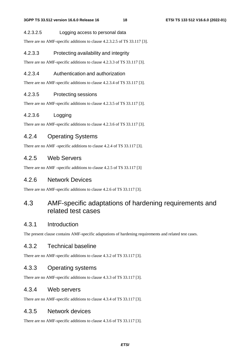## 4.2.3.2.5 Logging access to personal data

There are no AMF-specific additions to clause 4.2.3.2.5 of TS 33.117 [3].

## 4.2.3.3 Protecting availability and integrity

There are no AMF-specific additions to clause 4.2.3.3 of TS 33.117 [3].

## 4.2.3.4 Authentication and authorization

There are no AMF-specific additions to clause 4.2.3.4 of TS 33.117 [3].

## 4.2.3.5 Protecting sessions

There are no AMF-specific additions to clause 4.2.3.5 of TS 33.117 [3].

## 4.2.3.6 Logging

There are no AMF-specific additions to clause 4.2.3.6 of TS 33.117 [3].

## 4.2.4 Operating Systems

There are no AMF -specific additions to clause 4.2.4 of TS 33.117 [3].

## 4.2.5 Web Servers

There are no AMF -specific additions to clause 4.2.5 of TS 33.117 [3]

## 4.2.6 Network Devices

There are no AMF-specific additions to clause 4.2.6 of TS 33.117 [3].

## 4.3 AMF-specific adaptations of hardening requirements and related test cases

## 4.3.1 Introduction

The present clause contains AMF-specific adaptations of hardening requirements and related test cases.

## 4.3.2 Technical baseline

There are no AMF-specific additions to clause 4.3.2 of TS 33.117 [3].

## 4.3.3 Operating systems

There are no AMF-specific additions to clause 4.3.3 of TS 33.117 [3].

## 4.3.4 Web servers

There are no AMF-specific additions to clause 4.3.4 of TS 33.117 [3].

## 4.3.5 Network devices

There are no AMF-specific additions to clause 4.3.6 of TS 33.117 [3].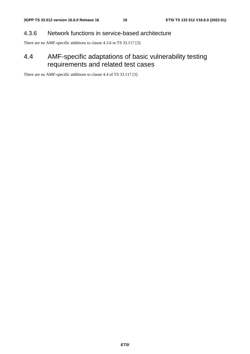## 4.3.6 Network functions in service-based architecture

There are no AMF-specific additions to clause 4.3.6 in TS 33.117 [3].

## 4.4 AMF-specific adaptations of basic vulnerability testing requirements and related test cases

There are no AMF-specific additions to clause 4.4 of TS 33.117 [3].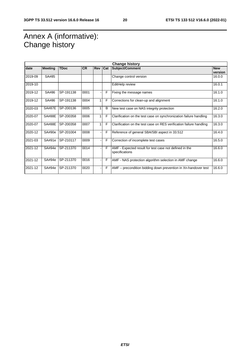## Annex A (informative): Change history

| <b>Change history</b> |                |             |           |            |            |                                                                          |                       |
|-----------------------|----------------|-------------|-----------|------------|------------|--------------------------------------------------------------------------|-----------------------|
| date                  | <b>Meeting</b> | <b>TDoc</b> | <b>CR</b> | <b>Rev</b> | <b>Cat</b> | <b>Subject/Comment</b>                                                   | <b>New</b><br>version |
| 2019-09               | SA#85          |             |           |            |            | Change control version                                                   | 16.0.0                |
| 2019-10               |                |             |           |            |            | EditHelp review                                                          | 16.0.1                |
| 2019-12               | SA#86          | SP-191138   | 0001      |            | F          | Fixing the message names                                                 | 16.1.0                |
| 2019-12               | SA#86          | SP-191138   | 0004      | 1          | F          | Corrections for clean-up and alignment                                   | 16.1.0                |
| 2020-03               | <b>SA#87E</b>  | SP-200136   | 0005      |            | B          | New test case on NAS integrity protection                                | 16.2.0                |
| 2020-07               | <b>SA#88E</b>  | SP-200358   | 0006      | 1          | F          | Clarification on the test case on synchronization failure handling       | 16.3.0                |
| 2020-07               | <b>SA#88E</b>  | SP-200358   | 0007      | 1          | F          | Clarification on the test case on RES verification failure handling      | 16.3.0                |
| 2020-12               | SA#90e         | SP-201004   | 0008      |            | F          | Reference of general SBA/SBI aspect in 33.512                            | 16.4.0                |
| 2021-03               | SA#91e         | SP-210117   | 0009      |            | F          | Correction of incomplete test cases                                      | 16.5.0                |
| 2021-12               | SA#94e         | SP-211370   | 0014      |            | F          | AMF - Expected result for test case not defined in the<br>specifications | 16.6.0                |
| 2021-12               | SA#94e         | SP-211370   | 0016      |            | F          | AMF - NAS protection algorithm selection in AMF change                   | 16.6.0                |
| 2021-12               | SA#94e         | SP-211370   | 0020      |            | F          | AMF – precondition bidding down prevention in Xn-handover test           | 16.6.0                |